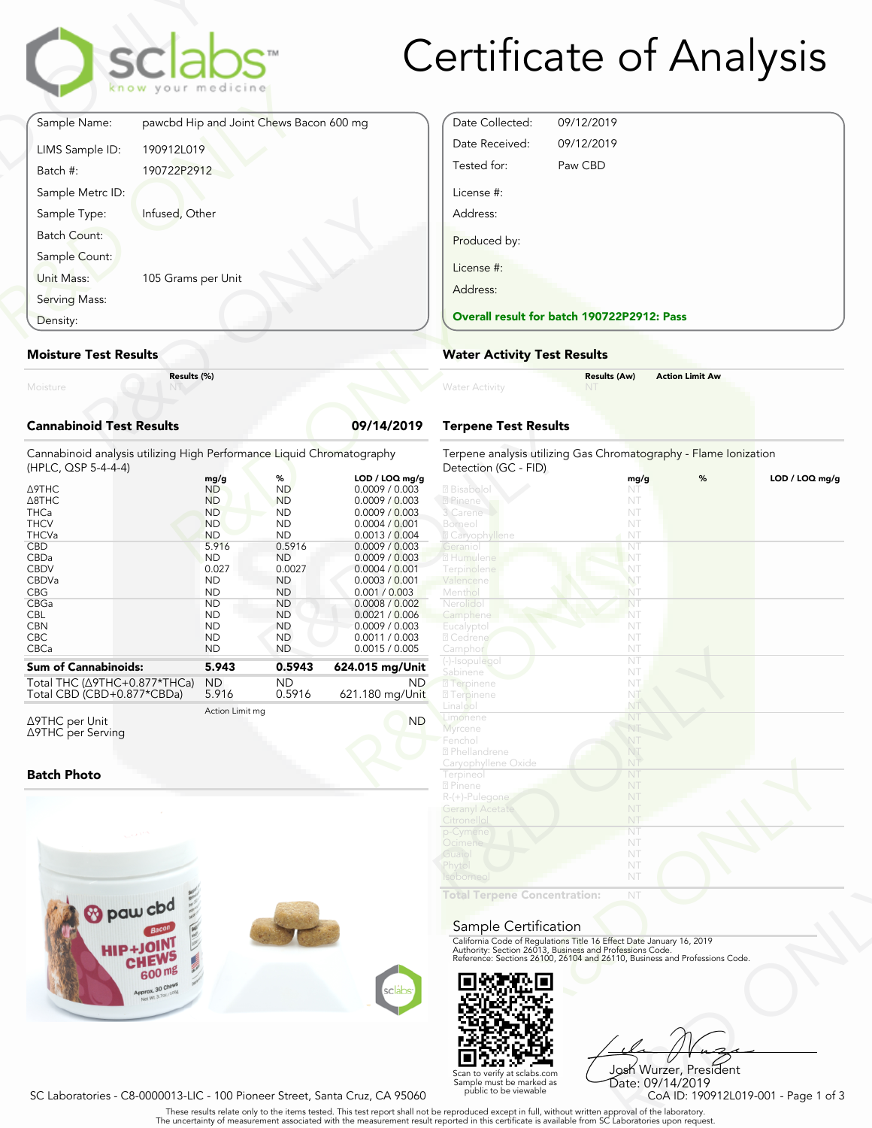

# Certificate of Analysis

|                                 | sclabs <sup>-</sup><br>know your medicine |            |
|---------------------------------|-------------------------------------------|------------|
| Sample Name:                    | pawcbd Hip and Joint Chews Bacon 600 mg   |            |
| LIMS Sample ID:                 | 190912L019                                |            |
| Batch #:                        | 190722P2912                               |            |
| Sample Metrc ID:                |                                           |            |
| Sample Type:                    | Infused, Other                            |            |
| Batch Count:                    |                                           |            |
| Sample Count:                   |                                           |            |
| Unit Mass:                      | 105 Grams per Unit                        |            |
| Serving Mass:                   |                                           |            |
| Density:                        |                                           |            |
| <b>Moisture Test Results</b>    |                                           |            |
| Moisture                        | Results (%)                               |            |
| <b>Cannabinoid Test Results</b> |                                           | 09/14/2019 |

#### **Moisture Test Results**

# **Cannabinoid Test Results 09/14/2019**

| Density:                                                                                                                                                                                                             |                                                                                                                                                                                                 |                                                                                                                                                                                                |                                                                                                                                                                                                                                                                                             | <b>Overall result for batc</b>                                                                                                                                                                         |
|----------------------------------------------------------------------------------------------------------------------------------------------------------------------------------------------------------------------|-------------------------------------------------------------------------------------------------------------------------------------------------------------------------------------------------|------------------------------------------------------------------------------------------------------------------------------------------------------------------------------------------------|---------------------------------------------------------------------------------------------------------------------------------------------------------------------------------------------------------------------------------------------------------------------------------------------|--------------------------------------------------------------------------------------------------------------------------------------------------------------------------------------------------------|
| <b>Moisture Test Results</b>                                                                                                                                                                                         |                                                                                                                                                                                                 |                                                                                                                                                                                                |                                                                                                                                                                                                                                                                                             | <b>Water Activity Test R</b>                                                                                                                                                                           |
| Moisture                                                                                                                                                                                                             | Results (%)                                                                                                                                                                                     |                                                                                                                                                                                                |                                                                                                                                                                                                                                                                                             | <b>Water Activity</b>                                                                                                                                                                                  |
| <b>Cannabinoid Test Results</b>                                                                                                                                                                                      |                                                                                                                                                                                                 |                                                                                                                                                                                                | 09/14/2019                                                                                                                                                                                                                                                                                  | <b>Terpene Test Results</b>                                                                                                                                                                            |
| Cannabinoid analysis utilizing High Performance Liquid Chromatography<br>(HPLC, QSP 5-4-4-4)                                                                                                                         |                                                                                                                                                                                                 |                                                                                                                                                                                                |                                                                                                                                                                                                                                                                                             | Terpene analysis utilizing<br>Detection (GC - FID)                                                                                                                                                     |
| $\triangle$ 9THC<br>$\triangle$ <sub>8</sub> THC<br><b>THCa</b><br><b>THCV</b><br><b>THCVa</b><br><b>CBD</b><br>CBDa<br><b>CBDV</b><br>CBDVa<br><b>CBG</b><br>CBGa<br><b>CBL</b><br><b>CBN</b><br><b>CBC</b><br>CBCa | mg/g<br><b>ND</b><br><b>ND</b><br><b>ND</b><br><b>ND</b><br><b>ND</b><br>5.916<br><b>ND</b><br>0.027<br><b>ND</b><br><b>ND</b><br><b>ND</b><br><b>ND</b><br><b>ND</b><br><b>ND</b><br><b>ND</b> | %<br><b>ND</b><br><b>ND</b><br><b>ND</b><br><b>ND</b><br><b>ND</b><br>0.5916<br><b>ND</b><br>0.0027<br><b>ND</b><br><b>ND</b><br><b>ND</b><br><b>ND</b><br><b>ND</b><br><b>ND</b><br><b>ND</b> | LOD / LOQ mg/g<br>0.0009 / 0.003<br>0.0009 / 0.003<br>0.0009 / 0.003<br>0.0004 / 0.001<br>0.0013 / 0.004<br>0.0009 / 0.003<br>0.0009 / 0.003<br>0.0004 / 0.001<br>0.0003 / 0.001<br>0.001 / 0.003<br>0.0008 / 0.002<br>0.0021 / 0.006<br>0.0009 / 0.003<br>0.0011 / 0.003<br>0.0015 / 0.005 | 2 Bisabolol<br>2 Pinene<br>3 Carene<br>Borneol<br><b>Z</b> Caryophyllene<br>Geranio<br>2 Humulene<br>Terpinolene<br>Valencene<br>Menthol<br>Nerolido<br>Camphene<br>Eucalyptol<br>2 Cedrene<br>Camphor |
| <b>Sum of Cannabinoids:</b>                                                                                                                                                                                          | 5.943                                                                                                                                                                                           | 0.5943                                                                                                                                                                                         | 624.015 mg/Unit                                                                                                                                                                                                                                                                             | (-)-Isopulegol<br>Sabinene                                                                                                                                                                             |
| Total THC (∆9THC+0.877*THCa)<br>Total CBD (CBD+0.877*CBDa)                                                                                                                                                           | <b>ND</b><br>5.916                                                                                                                                                                              | <b>ND</b><br>0.5916                                                                                                                                                                            | ND.<br>621.180 mg/Unit                                                                                                                                                                                                                                                                      | 2 Terpinene<br><b>27 Terpinene</b>                                                                                                                                                                     |
| $\triangle$ 9THC per Unit                                                                                                                                                                                            | Action Limit mg                                                                                                                                                                                 |                                                                                                                                                                                                | <b>ND</b>                                                                                                                                                                                                                                                                                   | Linalool<br>Limonene                                                                                                                                                                                   |

Δ9THC per Unit Δ9THC per Serving

#### **Batch Photo**



| Date Collected: | 09/12/2019                                 |  |  |  |
|-----------------|--------------------------------------------|--|--|--|
| Date Received:  | 09/12/2019                                 |  |  |  |
| Tested for:     | Paw CBD                                    |  |  |  |
| License #:      |                                            |  |  |  |
| Address:        |                                            |  |  |  |
| Produced by:    |                                            |  |  |  |
| License #:      |                                            |  |  |  |
| Address:        |                                            |  |  |  |
|                 | Overall result for batch 190722P2912: Pass |  |  |  |

# **Water Activity Test Results**

| Water Activity | <b>Results (Aw)</b><br><b>NT</b> | <b>Action Limit Aw</b> |  |
|----------------|----------------------------------|------------------------|--|
|                |                                  |                        |  |

# **Terpene Test Results**

| atography      | Terpene analysis utilizing Gas Chromatography - Flame Ionization<br>Detection (GC - FID)                                               |      |   |                |
|----------------|----------------------------------------------------------------------------------------------------------------------------------------|------|---|----------------|
| LOD / LOQ mg/g |                                                                                                                                        | mg/g | % | LOD / LOQ mg/g |
| 0.0009 / 0.003 | <b>7</b> Bisabolol                                                                                                                     | NT   |   |                |
| 0.0009 / 0.003 | 2 Pinene                                                                                                                               | NT   |   |                |
| 0.0009 / 0.003 | 3 Carene                                                                                                                               | NT   |   |                |
| 0.0004 / 0.001 | Borneol                                                                                                                                | NT   |   |                |
| 0.0013 / 0.004 | 2 Caryophyllene                                                                                                                        | NT   |   |                |
| 0.0009 / 0.003 | Geraniol                                                                                                                               | NT   |   |                |
| 0.0009 / 0.003 | 2 Humulene                                                                                                                             | NT   |   |                |
| 0.0004 / 0.001 | Terpinolene                                                                                                                            | NT   |   |                |
| 0.0003 / 0.001 | Valencene                                                                                                                              | NT   |   |                |
| 0.001 / 0.003  | Menthol                                                                                                                                | NT   |   |                |
| 0.0008 / 0.002 | Nerolidol                                                                                                                              | NT   |   |                |
| 0.0021 / 0.006 | Camphene                                                                                                                               | NT   |   |                |
| 0.0009 / 0.003 | Eucalyptol                                                                                                                             | NT   |   |                |
| 0.0011 / 0.003 | 2 Cedrene                                                                                                                              | NT   |   |                |
| 0.0015 / 0.005 | Camphor                                                                                                                                | NT   |   |                |
|                | (-)-Isopulegol                                                                                                                         | NT   |   |                |
| 24.015 mg/Unit | Sabinene                                                                                                                               | NT   |   |                |
| ND.            | <b>7</b> Terpinene                                                                                                                     | NT   |   |                |
| 21.180 mg/Unit | <b>27 Terpinene</b>                                                                                                                    | NT   |   |                |
|                | Linalool                                                                                                                               | NT   |   |                |
|                | Limonene                                                                                                                               | NT   |   |                |
| <b>ND</b>      | Myrcene                                                                                                                                | NT   |   |                |
|                | Fenchol                                                                                                                                | NT   |   |                |
|                | 2 Phellandrene                                                                                                                         | NT   |   |                |
|                | Caryophyllene Oxide                                                                                                                    | NT   |   |                |
|                | Terpineol                                                                                                                              | NT   |   |                |
|                | 2 Pinene                                                                                                                               | NT   |   |                |
|                | R-(+)-Pulegone                                                                                                                         | NT   |   |                |
|                | <b>Geranyl Acetate</b>                                                                                                                 | NT   |   |                |
|                |                                                                                                                                        | NT   |   |                |
|                | Citronellol                                                                                                                            |      |   |                |
|                | p-Cymene                                                                                                                               | NT   |   |                |
|                | Ocimene                                                                                                                                | NT   |   |                |
|                | Guaiol                                                                                                                                 | NT   |   |                |
|                | Phytol                                                                                                                                 | NT   |   |                |
|                | Isoborneol                                                                                                                             | NT   |   |                |
|                | <b>Total Terpene Concentration:</b>                                                                                                    | NT   |   |                |
|                |                                                                                                                                        |      |   |                |
|                |                                                                                                                                        |      |   |                |
|                | Sample Certification                                                                                                                   |      |   |                |
|                | California Code of Regulations Title 16 Effect Date January 16, 2019                                                                   |      |   |                |
|                | Authority: Section 26013, Business and Professions Code.<br>Reference: Sections 26100, 26104 and 26110, Business and Professions Code. |      |   |                |
|                |                                                                                                                                        |      |   |                |
|                |                                                                                                                                        |      |   |                |
|                |                                                                                                                                        |      |   |                |
| sclábs         |                                                                                                                                        |      |   |                |
|                |                                                                                                                                        |      |   |                |
|                |                                                                                                                                        |      |   |                |

#### Sample Certification



NT<br>
NT<br>
Fect Date January 16, 2019<br>
rofessions Code.<br>
9110, Business and Professions Code.<br>
9110, Business and Professions Code.<br>
Josh Wurzer, President<br>
Date: 09/14/2019<br>
CoA ID: 190912L019-001 - Page 1 of 3<br>
pproval of t Josh Wurzer, President Date: 09/14/2019

SC Laboratories - C8-0000013-LIC - 100 Pioneer Street, Santa Cruz, CA 95060

. These results relate only to the items tested. This test report shall not be reproduced except in full, without written approval of the laboratory.<br>The uncertainty of measurement associated with the measurement result re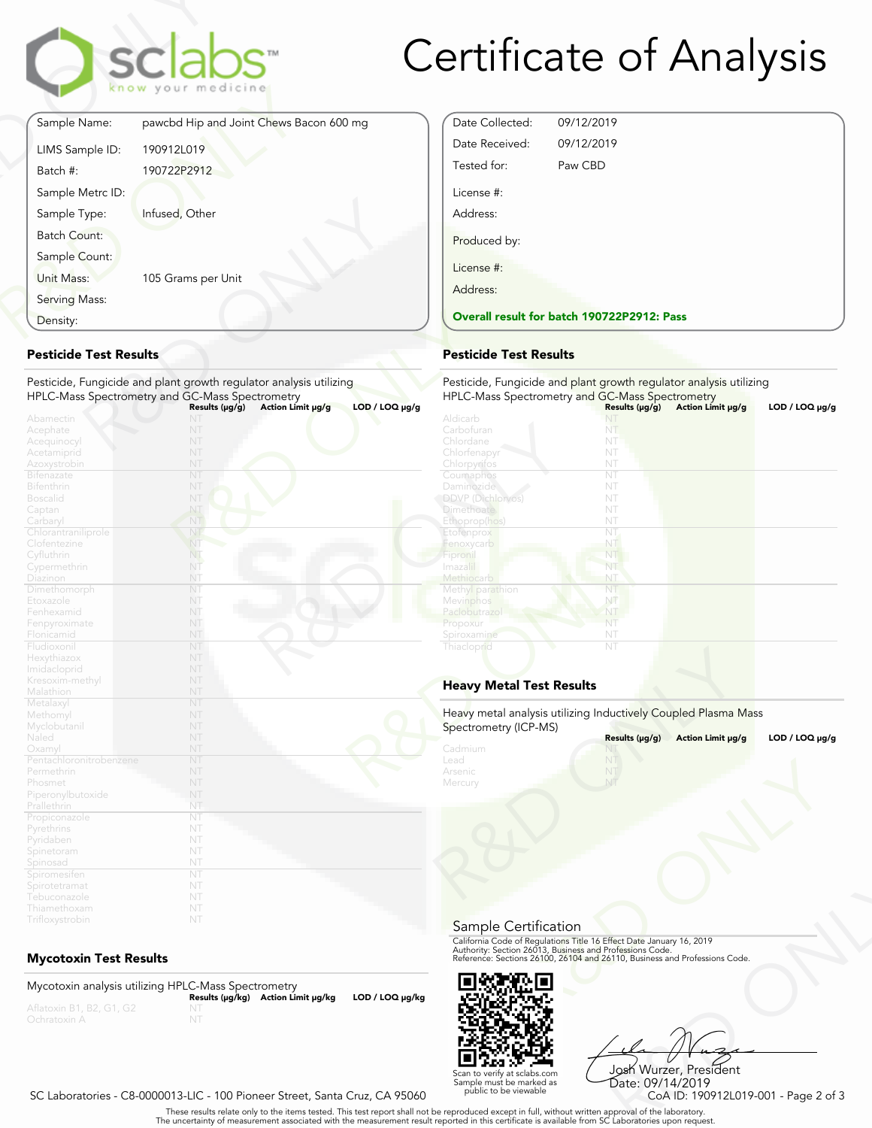

# Certificate of Analysis

Date Collected: 09/12/2019 Date Received: 09/12/2019 Tested for: Paw CBD

**Overall result for batch 190722P2912: Pass**

License #: Address:

Produced by:

License #: Address:

| Sample Name:<br>pawcbd Hip and Joint Chews Bacon 600 mg<br>190912L019<br>LIMS Sample ID:<br>190722P2912<br>Batch #:<br>Sample Metrc ID:<br>Sample Type:<br>Infused, Other<br><b>Batch Count:</b> |  |
|--------------------------------------------------------------------------------------------------------------------------------------------------------------------------------------------------|--|
|                                                                                                                                                                                                  |  |
|                                                                                                                                                                                                  |  |
|                                                                                                                                                                                                  |  |
|                                                                                                                                                                                                  |  |
|                                                                                                                                                                                                  |  |
|                                                                                                                                                                                                  |  |
| Sample Count:                                                                                                                                                                                    |  |
| Unit Mass:<br>105 Grams per Unit                                                                                                                                                                 |  |
| Serving Mass:                                                                                                                                                                                    |  |
| Density:                                                                                                                                                                                         |  |

# **Pesticide Test Results**

| Density:                          |                                                                    | <b>Overall result for batc</b> |
|-----------------------------------|--------------------------------------------------------------------|--------------------------------|
| <b>Pesticide Test Results</b>     |                                                                    | <b>Pesticide Test Results</b>  |
|                                   | Pesticide, Fungicide and plant growth regulator analysis utilizing | Pesticide, Fungicide and       |
|                                   | HPLC-Mass Spectrometry and GC-Mass Spectrometry                    | <b>HPLC-Mass Spectrometry</b>  |
|                                   | $LOD / LOQ \mu g/g$<br>Action Limit µg/g<br>Results $(\mu g/g)$    |                                |
| Abamectin                         | NT                                                                 | Aldicarb                       |
| Acephate                          | NT                                                                 | Carbofuran                     |
| Acequinocyl                       | NT                                                                 | Chlordane                      |
| Acetamiprid                       | NT                                                                 | Chlorfenapyr                   |
| Azoxystrobin                      | NT                                                                 | Chlorpyrifos                   |
| <b>Bifenazate</b>                 | NT                                                                 | Coumaphos                      |
| <b>Bifenthrin</b>                 | NT                                                                 | Daminozide                     |
| <b>Boscalid</b>                   | NT                                                                 | <b>DDVP</b> (Dichlorvos)       |
| Captan                            | NT                                                                 | <b>Dimethoate</b>              |
| Carbaryl                          | NT                                                                 | Ethoprop(hos)                  |
| Chlorantraniliprole               | NT                                                                 | Etofenprox                     |
| Clofentezine                      | NT                                                                 | Fenoxycarb                     |
| Cyfluthrin                        | NT.                                                                | Fipronil                       |
| Cypermethrin                      | NT                                                                 | Imaza i                        |
| Diazinon                          | NT                                                                 | Methiocarb                     |
| Dimethomorph                      | NT                                                                 | Methyl parathion               |
| Etoxazole                         | NT                                                                 | Mevinphos                      |
| Fenhexamid                        | NT                                                                 | Paclobutrazo                   |
| Fenpyroximate                     | NT                                                                 | Propoxur                       |
| Flonicamid                        | NT                                                                 | Spiroxamine                    |
| Fludioxonil                       | NT                                                                 | Thiacloprid                    |
| Hexythiazox                       | NT                                                                 |                                |
| Imidacloprid                      | NT                                                                 |                                |
| Kresoxim-methyl                   | NT                                                                 | <b>Heavy Metal Test Res</b>    |
| Malathion                         | NT                                                                 |                                |
| Metalaxyl                         | NT                                                                 | Heavy metal analysis utiliz    |
| Methomyl                          | NT                                                                 |                                |
| Myclobutanil                      | NT                                                                 | Spectrometry (ICP-MS)          |
| Naled                             | NT                                                                 |                                |
| Oxamyl<br>Pentachloronitrobenzene | NT<br>NT                                                           | Cadmium<br>Lead                |
| Permethrin                        | NT                                                                 | Arsenic                        |
|                                   | NT                                                                 |                                |
| Phosmet                           | NT                                                                 | Mercury                        |
| Piperonylbutoxide                 | NT                                                                 |                                |
| Prallethrin                       | NT                                                                 |                                |
| Propiconazole                     | NT                                                                 |                                |
| Pyrethrins                        | NT                                                                 |                                |
| Pyridaben                         | NT                                                                 |                                |
| Spinetoram                        | NT                                                                 |                                |
| Spinosad                          | NT                                                                 |                                |
| Spiromesifen                      | NT                                                                 |                                |
| Spirotetramat                     | NT                                                                 |                                |
| Tebuconazole<br>Thiamethoxam      | NT                                                                 |                                |
|                                   |                                                                    |                                |
| Trifloxystrobin                   | NT                                                                 |                                |

# **Mycotoxin Test Results**

Mycotoxin analysis utilizing HPLC-Mass Spectrometry **Results (μg/kg) Action Limit μg/kg LOD / LOQ μg/kg** NT



Frect Date January 16, 2019<br>
Trofessions Code.<br>
110, Business and Professions Code.<br>
110, Business and Professions Code.<br>
108 Wurzer, President<br>
Date: 09/14/2019<br>
CoA ID: 190912L019-001 - Page 2 of 3<br>
pproval of the labora Josh Wurzer, President Date: 09/14/2019

# SC Laboratories - C8-0000013-LIC - 100 Pioneer Street, Santa Cruz, CA 95060

. These results relate only to the items tested. This test report shall not be reproduced except in full, without written approval of the laboratory.<br>The uncertainty of measurement associated with the measurement result re

Scan to verify at sclabs.com Sample must be marked as public to be viewable

Pesticide, Fungicide and plant growth regulator analysis utilizing **HPLC-Mass Spectrometry and GC-Mass Spectrometry<br>Aldicarb <b>Community States (μg/g) Action Limit μg/g LOD / LOQ μg/g**<br>Aldicarb

| Aiuitai M                       | LA L                                                           |                     |
|---------------------------------|----------------------------------------------------------------|---------------------|
| Carbofuran                      | NT                                                             |                     |
| Chlordane                       | NT                                                             |                     |
| Chlorfenapyr                    | NT                                                             |                     |
| Chlorpyrifos                    | NT                                                             |                     |
| Coumaphos                       | NT                                                             |                     |
| Daminozide                      | NT                                                             |                     |
| <b>DDVP</b> (Dichlorvos)        | NT                                                             |                     |
| <b>Dimethoate</b>               | NT                                                             |                     |
| Ethoprop(hos)                   | NT                                                             |                     |
| Etofenprox                      | $\overline{\text{NT}}$                                         |                     |
| Fenoxycarb                      | NT                                                             |                     |
| Fipronil                        | NT                                                             |                     |
| Imazalil                        | NT                                                             |                     |
| Methiocarb                      | NT                                                             |                     |
| Methyl parathion                | NT                                                             |                     |
| Mevinphos                       | NŤ                                                             |                     |
| Paclobutrazol                   | NT                                                             |                     |
| Propoxur                        | NT                                                             |                     |
| Spiroxamine                     | NT                                                             |                     |
|                                 | NT                                                             |                     |
| Thiacloprid                     |                                                                |                     |
|                                 |                                                                |                     |
|                                 |                                                                |                     |
| <b>Heavy Metal Test Results</b> |                                                                |                     |
|                                 |                                                                |                     |
|                                 | Heavy metal analysis utilizing Inductively Coupled Plasma Mass |                     |
|                                 |                                                                |                     |
| Spectrometry (ICP-MS)           |                                                                |                     |
|                                 | Results (µg/g)<br>Action Limit µg/g                            | $LOD / LOQ \mu g/g$ |
| Cadmium                         |                                                                |                     |
| Lead                            | NT                                                             |                     |
| Arsenic                         | NT                                                             |                     |
| Mercury                         | NT                                                             |                     |

# **Heavy Metal Test Results**

| Spectrometry (ICP-MS)      | Heavy metal analysis utilizing Inductively Coupled Plasma Mass                                                                                                                                                 |                     |
|----------------------------|----------------------------------------------------------------------------------------------------------------------------------------------------------------------------------------------------------------|---------------------|
|                            | Results (µg/g)<br>Action Limit µg/g                                                                                                                                                                            | $LOD / LOQ \mu g/g$ |
| Cadmium<br>Lead<br>Arsenic | NT                                                                                                                                                                                                             |                     |
| Mercury                    |                                                                                                                                                                                                                |                     |
|                            |                                                                                                                                                                                                                |                     |
| Sample Certification       |                                                                                                                                                                                                                |                     |
|                            | California Code of Regulations Title 16 Effect Date January 16, 2019<br>Authority: Section 26013, Business and Professions Code.<br>Reference: Sections 26100, 26104 and 26110, Business and Professions Code. |                     |
|                            |                                                                                                                                                                                                                |                     |